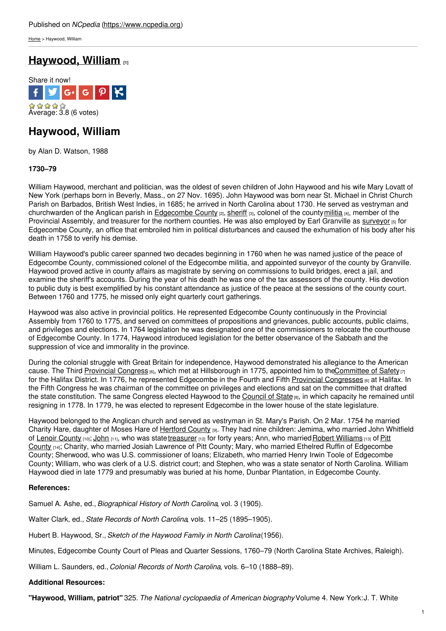[Home](https://www.ncpedia.org/) > Haywood, William

# **[Haywood,](https://www.ncpedia.org/biography/haywood-william) William [1]**



## **Haywood, William**

by Alan D. Watson, 1988

### **1730–79**

William Haywood, merchant and politician, was the oldest of seven children of John Haywood and his wife Mary Lovatt of New York (perhaps born in Beverly, [Mass.,](http://www.social9.com) on 27 Nov. 1695). John Haywood was born near St. Michael in Christ Church Parish on Barbados, British West Indies, in 1685; he arrived in North Carolina about 1730. He served as vestryman and churchwarden of the Anglican parish in [Edgecombe](https://www.ncpedia.org/geography/edgecombe) County  $|z|$ , [sheriff](https://www.ncpedia.org/sheriff)  $|3|$ , colonel of the county[militia](https://www.ncpedia.org/militias-colonial)  $|4|$ , member of the Provincial Assembly, and treasurer for the northern counties. He was also employed by Earl Granville as [surveyor](https://www.ncpedia.org/surveyors) [5] for Edgecombe County, an office that embroiled him in political disturbances and caused the exhumation of his body after his death in 1758 to verify his demise.

William Haywood's public career spanned two decades beginning in 1760 when he was named justice of the peace of Edgecombe County, commissioned colonel of the Edgecombe militia, and appointed surveyor of the county by Granville. Haywood proved active in county affairs as magistrate by serving on commissions to build bridges, erect a jail, and examine the sheriff's accounts. During the year of his death he was one of the tax assessors of the county. His devotion to public duty is best exemplified by his constant attendance as justice of the peace at the sessions of the county court. Between 1760 and 1775, he missed only eight quarterly court gatherings.

Haywood was also active in provincial politics. He represented Edgecombe County continuously in the Provincial Assembly from 1760 to 1775, and served on committees of propositions and grievances, public accounts, public claims, and privileges and elections. In 1764 legislation he was designated one of the commissioners to relocate the courthouse of Edgecombe County. In 1774, Haywood introduced legislation for the better observance of the Sabbath and the suppression of vice and immorality in the province.

During the colonial struggle with Great Britain for independence, Haywood demonstrated his allegiance to the American cause. The Third [Provincial](https://www.ncpedia.org/provincial-congresses) Congress [6], which met at Hillsborough in 1775, appointed him to the Committee of Safety [7] for the Halifax District. In 1776, he represented Edgecombe in the Fourth and Fifth Provincial [Congresses](https://www.ncpedia.org/provincial-congresses) [6] at Halifax. In the Fifth Congress he was chairman of the committee on privileges and elections and sat on the committee that drafted the state constitution. The same Congress elected Haywood to the [Council](https://www.ncpedia.org/council-state) of State [8], in which capacity he remained until resigning in 1778. In 1779, he was elected to represent Edgecombe in the lower house of the state legislature.

Haywood belonged to the Anglican church and served as vestryman in St. Mary's Parish. On 2 Mar. 1754 he married Charity Hare, daughter of Moses Hare of [Hertford](https://www.ncpedia.org/geography/hertford) County [9]. They had nine children: Jemima, who married John Whitfield of Lenoir [County](https://www.ncpedia.org/geography/lenoir) [10]; [John](https://www.ncpedia.org/biography/haywood-john-0) [11], who was state [treasurer](https://www.ncpedia.org/treasurer) [12] for forty years; Ann, who married Robert [Williams](https://www.ncpedia.org/biography/williams-robert) [13] of Pitt County [14]; Charity, who married Josiah Lawrence of Pitt County; Mary, who married Ethelred Ruffin of Edgecombe County; Sherwood, who was U.S. commissioner of loans; Elizabeth, who married Henry Irwin Toole of Edgecombe County; William, who was clerk of a U.S. district court; and Stephen, who was a state senator of North Carolina. William Haywood died in late 1779 and presumably was buried at his home, Dunbar Plantation, in Edgecombe County.

### **References:**

Samuel A. Ashe, ed., *Biographical History of North Carolina*, vol. 3 (1905).

Walter Clark, ed., *State Records of North Carolina*, vols. 11–25 (1895–1905).

Hubert B. Haywood, Sr., *Sketch of the Haywood Family in North Carolina*(1956).

Minutes, Edgecombe County Court of Pleas and Quarter Sessions, 1760–79 (North Carolina State Archives, Raleigh).

William L. Saunders, ed., *Colonial Records of North Carolina*, vols. 6–10 (1888–89).

### **Additional Resources:**

**"Haywood, William, patriot"** 325. *The National cyclopaedia of American biography*Volume 4. New York:J. T. White